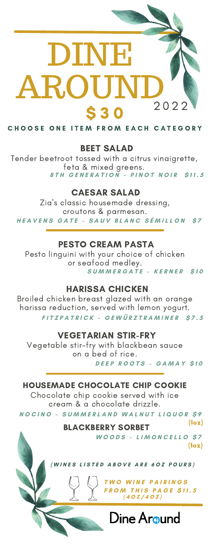# DINE AROUN 2 0 2 2 \$ 3 0

CHOOSE ONE ITEM FROM EACH CATEGORY

### BEET SALAD

Tender beetroot tossed with a citrus vinaigrette, feta & mixed greens. 8TH GENERATION - PINOT NOIR \$11.5

# CAESAR SALAD

Zia's classic housemade dressing, croutons & parmesan. HEAVENS GATE - SAUV BLANC SÉMILLON S7

## PESTO CREAM PASTA

Pesto linguini with your choice of chicken or seafood medley. **S U M M E R G A T E - K E R N E R \$ 1 0**

# HARISSA CHICKEN

Broiled chicken breast glazed with an orange harissa reduction, served with lemon yogurt. FITZPATRICK - GEWÜRZTRAMINER \$7.5

# VEGETARIAN STIR-FRY

Vegetable stir-fry with blackbean sauce on a bed of rice. **D E E P R O O T S - G A M A Y \$ 1 0**

# HOUSEMADE CHOCOLATE CHIP COOKIE

Chocolate chip cookie served with ice cream & a chocolate drizzle. NOCINO - SUMMERLAND WALNUT LIQUOR \$9

BLACKBERRY SORBET

**W O O D S - L I M O N C E L L O \$ 7** (1oz)

(1oz)

WINES LISTED ABOVE ARE 60Z POURS)

**T W O W I N E P A I R I N G S F R O M T H I S P A G E \$ 1 1 . 5 ( 4 O Z / 4 O Z )**

Dine Around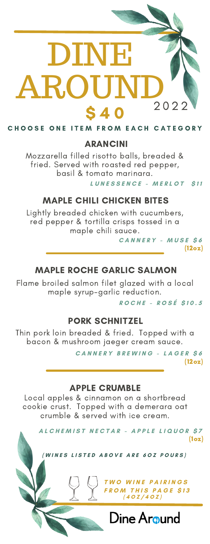# DINE AROUN 2 0 2 2 **S 4 0**

CHOOSE ONE ITEM FROM EACH CATEGORY

# ARANCINI

Mozzarella filled risotto balls, breaded & fried. Served with roasted red pepper, basil & tomato marinara.

**L U N E S S E N C E - M E R L O T \$ 1 1**

# MAPLE CHILI CHICKEN BITES

Lightly breaded chicken with cucumbers, red pepper & tortilla crisps tossed in a maple chili sauce.

**C A N N E R Y - M U S E \$ 6** (12oz)

# MAPLE ROCHE GARLIC SALMON

Flame broiled salmon filet glazed with a local maple syrup-garlic reduction.

**R O C H E - R O S É \$ 1 0 . 5**

# PORK SCHNITZEL

Thin pork loin breaded & fried. Topped with a bacon & mushroom jaeger cream sauce.

> **C A N N E R Y B R E W I N G - L A G E R \$ 6** (12oz)

### APPLE CRUMBLE

Local apples & cinnamon on a shortbread cookie crust. Topped with a demerara oat crumble & served with ice cream.

ALCHEMIST NECTAR - APPLE LIQUOR \$7

(1oz)

WINES LISTED ABOVE ARE 60Z POURS)

**T W O W I N E P A I R I N G S F R O M T H I S P A G E \$ 1 3 ( 4 O Z / 4 O Z )**

Dine Around